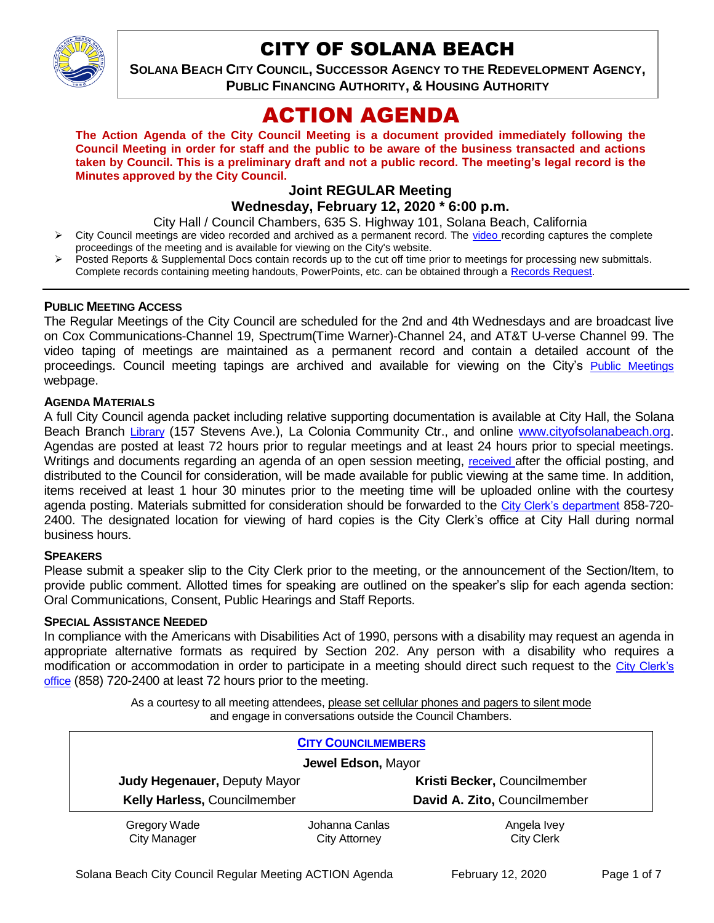

# CITY OF SOLANA BEACH

--- **SOLANA BEACH CITY COUNCIL, SUCCESSOR AGENCY TO THE REDEVELOPMENT AGENCY, PUBLIC FINANCING AUTHORITY, & HOUSING AUTHORITY** 

# ACTION AGENDA

**The Action Agenda of the City Council Meeting is a document provided immediately following the Council Meeting in order for staff and the public to be aware of the business transacted and actions taken by Council. This is a preliminary draft and not a public record. The meeting's legal record is the Minutes approved by the City Council.**

# **Joint REGULAR Meeting**

## **Wednesday, February 12, 2020 \* 6:00 p.m.**

City Hall / Council Chambers, 635 S. Highway 101, Solana Beach, California

- City Council meetings are video recorded and archived as a permanent record. The [video r](https://solanabeach.12milesout.com/#page=1)ecording captures the complete proceedings of the meeting and is available for viewing on the City's website.
- Posted Reports & Supplemental Docs contain records up to the cut off time prior to meetings for processing new submittals. Complete records containing meeting handouts, PowerPoints, etc. can be obtained through a [Records Request.](http://www.ci.solana-beach.ca.us/index.asp?SEC=F5D45D10-70CE-4291-A27C-7BD633FC6742&Type=B_BASIC)

#### **PUBLIC MEETING ACCESS**

The Regular Meetings of the City Council are scheduled for the 2nd and 4th Wednesdays and are broadcast live on Cox Communications-Channel 19, Spectrum(Time Warner)-Channel 24, and AT&T U-verse Channel 99. The video taping of meetings are maintained as a permanent record and contain a detailed account of the proceedings. Council meeting tapings are archived and available for viewing on the City's [Public Meetings](https://www.ci.solana-beach.ca.us/index.asp?SEC=F0F1200D-21C6-4A88-8AE1-0BC07C1A81A7&Type=B_BASIC) webpage.

#### **AGENDA MATERIALS**

A full City Council agenda packet including relative supporting documentation is available at City Hall, the Solana Beach Branch [Library](http://www.sdcl.org/locations_SB.html) (157 Stevens Ave.), La Colonia Community Ctr., and online [www.cityofsolanabeach.org.](http://www.cityofsolanabeach.org/) Agendas are posted at least 72 hours prior to regular meetings and at least 24 hours prior to special meetings. Writings and documents regarding an agenda of an open session meeting, [received](mailto:EMAILGRP-CityClerksOfc@cosb.org) after the official posting, and distributed to the Council for consideration, will be made available for public viewing at the same time. In addition, items received at least 1 hour 30 minutes prior to the meeting time will be uploaded online with the courtesy agenda posting. Materials submitted for consideration should be forwarded to the [City Clerk's department](mailto:EMAILGRP-CityClerksOfc@cosb.org) 858-720- 2400. The designated location for viewing of hard copies is the City Clerk's office at City Hall during normal business hours.

#### **SPEAKERS**

Please submit a speaker slip to the City Clerk prior to the meeting, or the announcement of the Section/Item, to provide public comment. Allotted times for speaking are outlined on the speaker's slip for each agenda section: Oral Communications, Consent, Public Hearings and Staff Reports.

#### **SPECIAL ASSISTANCE NEEDED**

In compliance with the Americans with Disabilities Act of 1990, persons with a disability may request an agenda in appropriate alternative formats as required by Section 202. Any person with a disability who requires a modification or accommodation in order to participate in a meeting should direct such request to the City [Clerk's](mailto:clerkadmin@cosb.org?subject=City%20Clerk%20Notice%20of%20Special%20Services%20Needed)  [office](mailto:clerkadmin@cosb.org?subject=City%20Clerk%20Notice%20of%20Special%20Services%20Needed) (858) 720-2400 at least 72 hours prior to the meeting.

> As a courtesy to all meeting attendees, please set cellular phones and pagers to silent mode and engage in conversations outside the Council Chambers.

| <b>CITY COUNCILMEMBERS</b>          |                                        |                                  |
|-------------------------------------|----------------------------------------|----------------------------------|
| Jewel Edson, Mayor                  |                                        |                                  |
| Judy Hegenauer, Deputy Mayor        |                                        | Kristi Becker, Councilmember     |
| Kelly Harless, Councilmember        |                                        | David A. Zito, Councilmember     |
| Gregory Wade<br><b>City Manager</b> | Johanna Canlas<br><b>City Attorney</b> | Angela Ivey<br><b>City Clerk</b> |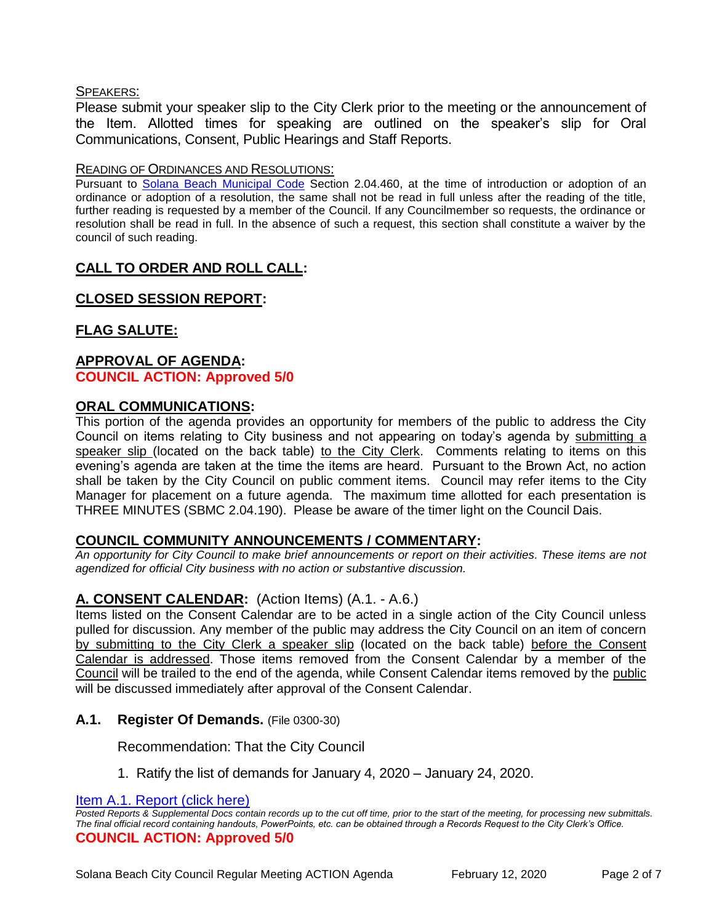## SPEAKERS:

Please submit your speaker slip to the City Clerk prior to the meeting or the announcement of the Item. Allotted times for speaking are outlined on the speaker's slip for Oral Communications, Consent, Public Hearings and Staff Reports.

#### READING OF ORDINANCES AND RESOLUTIONS:

Pursuant to [Solana Beach Municipal Code](mailto:https://www.codepublishing.com/CA/SolanaBeach/) Section 2.04.460, at the time of introduction or adoption of an ordinance or adoption of a resolution, the same shall not be read in full unless after the reading of the title, further reading is requested by a member of the Council. If any Councilmember so requests, the ordinance or resolution shall be read in full. In the absence of such a request, this section shall constitute a waiver by the council of such reading.

# **CALL TO ORDER AND ROLL CALL:**

## **CLOSED SESSION REPORT:**

# **FLAG SALUTE:**

# **APPROVAL OF AGENDA: COUNCIL ACTION: Approved 5/0**

## **ORAL COMMUNICATIONS:**

This portion of the agenda provides an opportunity for members of the public to address the City Council on items relating to City business and not appearing on today's agenda by submitting a speaker slip (located on the back table) to the City Clerk. Comments relating to items on this evening's agenda are taken at the time the items are heard. Pursuant to the Brown Act, no action shall be taken by the City Council on public comment items. Council may refer items to the City Manager for placement on a future agenda. The maximum time allotted for each presentation is THREE MINUTES (SBMC 2.04.190). Please be aware of the timer light on the Council Dais.

## **COUNCIL COMMUNITY ANNOUNCEMENTS / COMMENTARY:**

*An opportunity for City Council to make brief announcements or report on their activities. These items are not agendized for official City business with no action or substantive discussion.* 

## **A. CONSENT CALENDAR:** (Action Items) (A.1. - A.6.)

Items listed on the Consent Calendar are to be acted in a single action of the City Council unless pulled for discussion. Any member of the public may address the City Council on an item of concern by submitting to the City Clerk a speaker slip (located on the back table) before the Consent Calendar is addressed. Those items removed from the Consent Calendar by a member of the Council will be trailed to the end of the agenda, while Consent Calendar items removed by the public will be discussed immediately after approval of the Consent Calendar.

## **A.1. Register Of Demands.** (File 0300-30)

Recommendation: That the City Council

1. Ratify the list of demands for January 4, 2020 – January 24, 2020.

[Item A.1. Report \(click here\)](https://solanabeach.govoffice3.com/vertical/Sites/%7B840804C2-F869-4904-9AE3-720581350CE7%7D/uploads/Item_A.1._Report_(click_here)_02-12-20_-_O.pdf)

*Posted Reports & Supplemental Docs contain records up to the cut off time, prior to the start of the meeting, for processing new submittals. The final official record containing handouts, PowerPoints, etc. can be obtained through a Records Request to the City Clerk's Office.* **COUNCIL ACTION: Approved 5/0**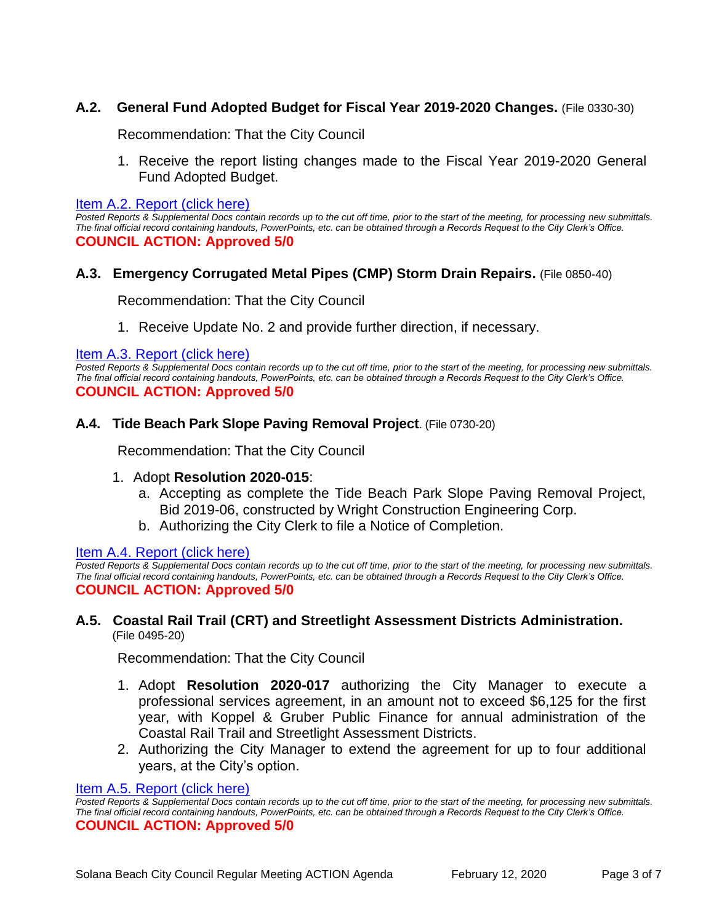# **A.2. General Fund Adopted Budget for Fiscal Year 2019-2020 Changes.** (File 0330-30)

Recommendation: That the City Council

1. Receive the report listing changes made to the Fiscal Year 2019-2020 General Fund Adopted Budget.

[Item A.2. Report \(click here\)](https://solanabeach.govoffice3.com/vertical/Sites/%7B840804C2-F869-4904-9AE3-720581350CE7%7D/uploads/Item_A.2._Report_(click_here)_02-12-20_-_O.pdf)

*Posted Reports & Supplemental Docs contain records up to the cut off time, prior to the start of the meeting, for processing new submittals. The final official record containing handouts, PowerPoints, etc. can be obtained through a Records Request to the City Clerk's Office.* **COUNCIL ACTION: Approved 5/0**

#### **A.3. Emergency Corrugated Metal Pipes (CMP) Storm Drain Repairs.** (File 0850-40)

Recommendation: That the City Council

1. Receive Update No. 2 and provide further direction, if necessary.

[Item A.3. Report \(click here\)](https://solanabeach.govoffice3.com/vertical/Sites/%7B840804C2-F869-4904-9AE3-720581350CE7%7D/uploads/Item_A.3._Report_(click_here)_02-12-20_-_O.pdf)

*Posted Reports & Supplemental Docs contain records up to the cut off time, prior to the start of the meeting, for processing new submittals. The final official record containing handouts, PowerPoints, etc. can be obtained through a Records Request to the City Clerk's Office.* **COUNCIL ACTION: Approved 5/0**

#### **A.4. Tide Beach Park Slope Paving Removal Project**. (File 0730-20)

Recommendation: That the City Council

#### 1. Adopt **Resolution 2020-015**:

- a. Accepting as complete the Tide Beach Park Slope Paving Removal Project, Bid 2019-06, constructed by Wright Construction Engineering Corp.
- b. Authorizing the City Clerk to file a Notice of Completion.

#### Item [A.4. Report \(click here\)](https://solanabeach.govoffice3.com/vertical/Sites/%7B840804C2-F869-4904-9AE3-720581350CE7%7D/uploads/Item_A.4._Report_(click_here)_02-12-20_-_O.pdf)

*Posted Reports & Supplemental Docs contain records up to the cut off time, prior to the start of the meeting, for processing new submittals. The final official record containing handouts, PowerPoints, etc. can be obtained through a Records Request to the City Clerk's Office.* **COUNCIL ACTION: Approved 5/0**

#### **A.5. Coastal Rail Trail (CRT) and Streetlight Assessment Districts Administration.** (File 0495-20)

Recommendation: That the City Council

- 1. Adopt **Resolution 2020-017** authorizing the City Manager to execute a professional services agreement, in an amount not to exceed \$6,125 for the first year, with Koppel & Gruber Public Finance for annual administration of the Coastal Rail Trail and Streetlight Assessment Districts.
- 2. Authorizing the City Manager to extend the agreement for up to four additional years, at the City's option.

#### [Item A.5. Report \(click here\)](https://solanabeach.govoffice3.com/vertical/Sites/%7B840804C2-F869-4904-9AE3-720581350CE7%7D/uploads/Item_A.5._Report_(click_here)_02-12-20_-_O.pdf)

*Posted Reports & Supplemental Docs contain records up to the cut off time, prior to the start of the meeting, for processing new submittals. The final official record containing handouts, PowerPoints, etc. can be obtained through a Records Request to the City Clerk's Office.* **COUNCIL ACTION: Approved 5/0**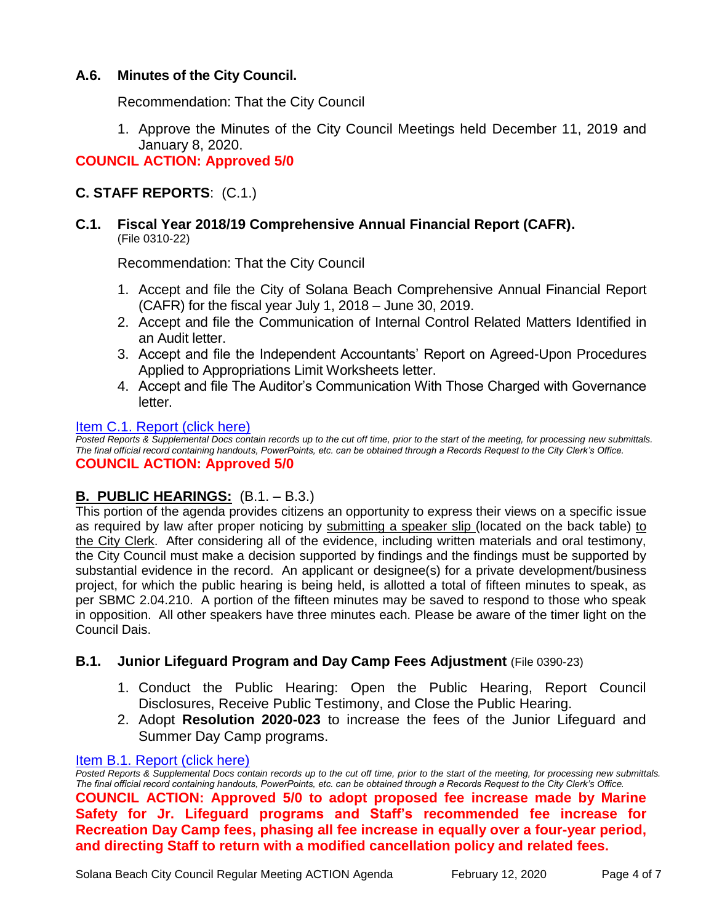# **A.6. Minutes of the City Council.**

Recommendation: That the City Council

1. Approve the Minutes of the City Council Meetings held December 11, 2019 and January 8, 2020.

# **COUNCIL ACTION: Approved 5/0**

# **C. STAFF REPORTS**: (C.1.)

#### **C.1. Fiscal Year 2018/19 Comprehensive Annual Financial Report (CAFR).** (File 0310-22)

Recommendation: That the City Council

- 1. Accept and file the City of Solana Beach Comprehensive Annual Financial Report (CAFR) for the fiscal year July 1, 2018 – June 30, 2019.
- 2. Accept and file the Communication of Internal Control Related Matters Identified in an Audit letter.
- 3. Accept and file the Independent Accountants' Report on Agreed-Upon Procedures Applied to Appropriations Limit Worksheets letter.
- 4. Accept and file The Auditor's Communication With Those Charged with Governance letter.

#### [Item C.1. Report \(click here\)](https://solanabeach.govoffice3.com/vertical/Sites/%7B840804C2-F869-4904-9AE3-720581350CE7%7D/uploads/Item_C.1._Report_(click_here)_02-12-20_-_O.pdf)

*Posted Reports & Supplemental Docs contain records up to the cut off time, prior to the start of the meeting, for processing new submittals. The final official record containing handouts, PowerPoints, etc. can be obtained through a Records Request to the City Clerk's Office.* **COUNCIL ACTION: Approved 5/0**

## **B. PUBLIC HEARINGS:** (B.1. – B.3.)

This portion of the agenda provides citizens an opportunity to express their views on a specific issue as required by law after proper noticing by submitting a speaker slip (located on the back table) to the City Clerk. After considering all of the evidence, including written materials and oral testimony, the City Council must make a decision supported by findings and the findings must be supported by substantial evidence in the record. An applicant or designee(s) for a private development/business project, for which the public hearing is being held, is allotted a total of fifteen minutes to speak, as per SBMC 2.04.210. A portion of the fifteen minutes may be saved to respond to those who speak in opposition. All other speakers have three minutes each. Please be aware of the timer light on the Council Dais.

#### **B.1. Junior Lifeguard Program and Day Camp Fees Adjustment** (File 0390-23)

- 1. Conduct the Public Hearing: Open the Public Hearing, Report Council Disclosures, Receive Public Testimony, and Close the Public Hearing.
- 2. Adopt **Resolution 2020-023** to increase the fees of the Junior Lifeguard and Summer Day Camp programs.

#### [Item B.1. Report \(click here\)](https://solanabeach.govoffice3.com/vertical/Sites/%7B840804C2-F869-4904-9AE3-720581350CE7%7D/uploads/Item_B.1._Report_(click_here)_02-12-20_-_O.pdf)

*Posted Reports & Supplemental Docs contain records up to the cut off time, prior to the start of the meeting, for processing new submittals. The final official record containing handouts, PowerPoints, etc. can be obtained through a Records Request to the City Clerk's Office.* **COUNCIL ACTION: Approved 5/0 to adopt proposed fee increase made by Marine Safety for Jr. Lifeguard programs and Staff's recommended fee increase for Recreation Day Camp fees, phasing all fee increase in equally over a four-year period, and directing Staff to return with a modified cancellation policy and related fees.**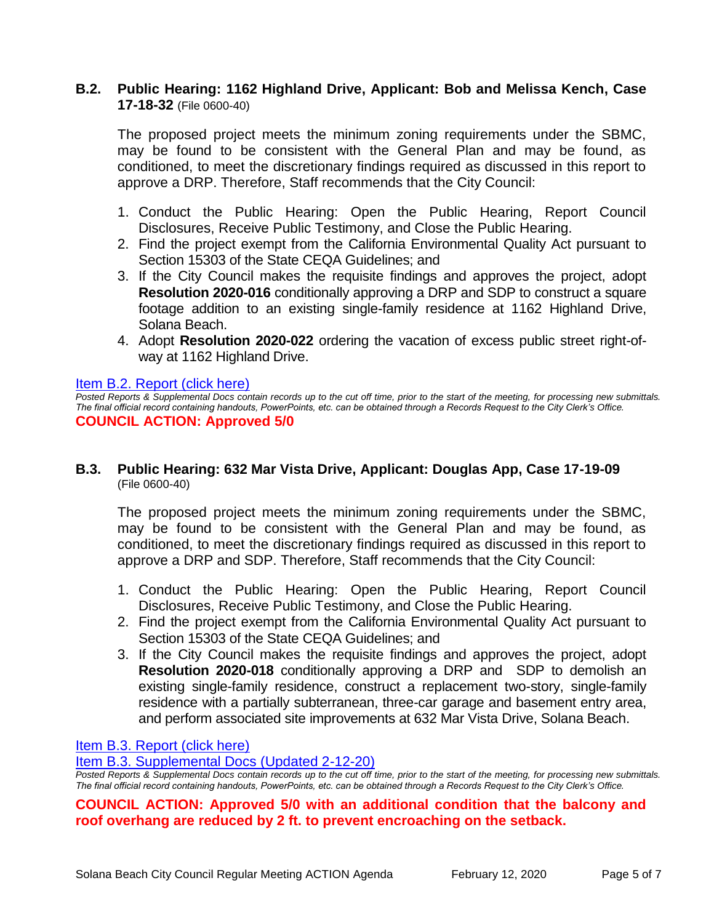## **B.2. Public Hearing: 1162 Highland Drive, Applicant: Bob and Melissa Kench, Case 17-18-32** (File 0600-40)

The proposed project meets the minimum zoning requirements under the SBMC, may be found to be consistent with the General Plan and may be found, as conditioned, to meet the discretionary findings required as discussed in this report to approve a DRP. Therefore, Staff recommends that the City Council:

- 1. Conduct the Public Hearing: Open the Public Hearing, Report Council Disclosures, Receive Public Testimony, and Close the Public Hearing.
- 2. Find the project exempt from the California Environmental Quality Act pursuant to Section 15303 of the State CEQA Guidelines; and
- 3. If the City Council makes the requisite findings and approves the project, adopt **Resolution 2020-016** conditionally approving a DRP and SDP to construct a square footage addition to an existing single-family residence at 1162 Highland Drive, Solana Beach.
- 4. Adopt **Resolution 2020-022** ordering the vacation of excess public street right-ofway at 1162 Highland Drive.

#### [Item B.2. Report \(click here\)](https://solanabeach.govoffice3.com/vertical/Sites/%7B840804C2-F869-4904-9AE3-720581350CE7%7D/uploads/Item_B.2._Report_(click_here)_02-12-20_-_O.pdf)

*Posted Reports & Supplemental Docs contain records up to the cut off time, prior to the start of the meeting, for processing new submittals. The final official record containing handouts, PowerPoints, etc. can be obtained through a Records Request to the City Clerk's Office.* **COUNCIL ACTION: Approved 5/0**

#### **B.3. Public Hearing: 632 Mar Vista Drive, Applicant: Douglas App, Case 17-19-09** (File 0600-40)

The proposed project meets the minimum zoning requirements under the SBMC, may be found to be consistent with the General Plan and may be found, as conditioned, to meet the discretionary findings required as discussed in this report to approve a DRP and SDP. Therefore, Staff recommends that the City Council:

- 1. Conduct the Public Hearing: Open the Public Hearing, Report Council Disclosures, Receive Public Testimony, and Close the Public Hearing.
- 2. Find the project exempt from the California Environmental Quality Act pursuant to Section 15303 of the State CEQA Guidelines; and
- 3. If the City Council makes the requisite findings and approves the project, adopt **Resolution 2020-018** conditionally approving a DRP and SDP to demolish an existing single-family residence, construct a replacement two-story, single-family residence with a partially subterranean, three-car garage and basement entry area, and perform associated site improvements at 632 Mar Vista Drive, Solana Beach.

[Item B.3. Report \(click here\)](https://solanabeach.govoffice3.com/vertical/Sites/%7B840804C2-F869-4904-9AE3-720581350CE7%7D/uploads/Item_B.3._Report_(click_here)_02-12-20_-_O.pdf)

[Item B.3. Supplemental Docs \(Updated 2-12-20\)](https://solanabeach.govoffice3.com/vertical/Sites/%7B840804C2-F869-4904-9AE3-720581350CE7%7D/uploads/Item_B.3._Supplemental_Docs_(upd._2-12_at_1130am)_-_o.pdf)

*Posted Reports & Supplemental Docs contain records up to the cut off time, prior to the start of the meeting, for processing new submittals. The final official record containing handouts, PowerPoints, etc. can be obtained through a Records Request to the City Clerk's Office.*

## **COUNCIL ACTION: Approved 5/0 with an additional condition that the balcony and roof overhang are reduced by 2 ft. to prevent encroaching on the setback.**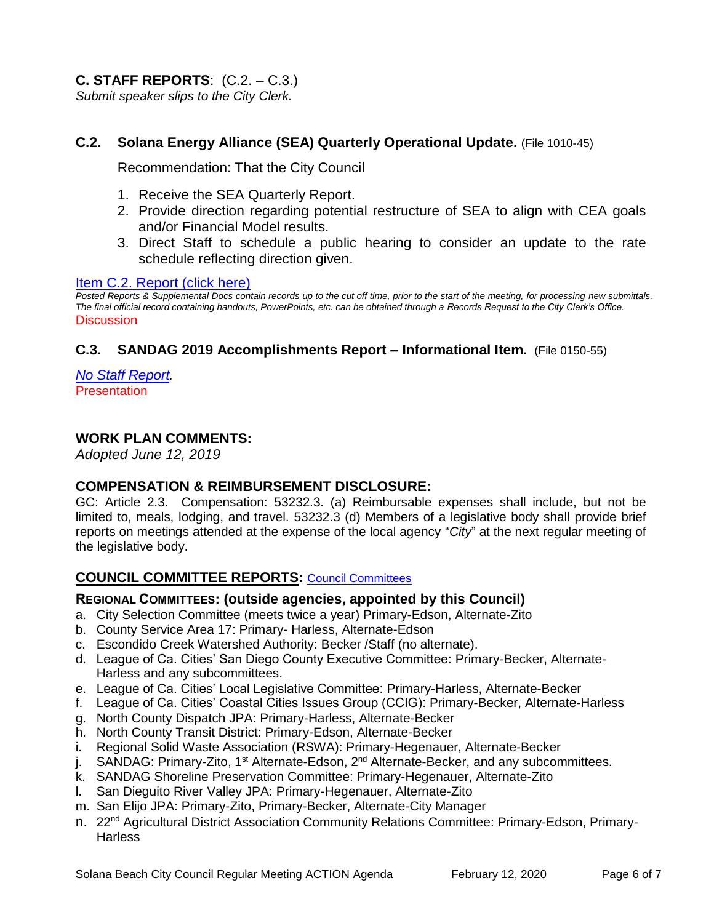# **C. STAFF REPORTS**: (C.2. – C.3.)

*Submit speaker slips to the City Clerk.*

## **C.2. Solana Energy Alliance (SEA) Quarterly Operational Update.** (File 1010-45)

Recommendation: That the City Council

- 1. Receive the SEA Quarterly Report.
- 2. Provide direction regarding potential restructure of SEA to align with CEA goals and/or Financial Model results.
- 3. Direct Staff to schedule a public hearing to consider an update to the rate schedule reflecting direction given.

#### [Item C.2. Report \(click here\)](https://solanabeach.govoffice3.com/vertical/Sites/%7B840804C2-F869-4904-9AE3-720581350CE7%7D/uploads/Item_C.2._Report_(click_here)_02-12-20_-_O.pdf)

*Posted Reports & Supplemental Docs contain records up to the cut off time, prior to the start of the meeting, for processing new submittals. The final official record containing handouts, PowerPoints, etc. can be obtained through a Records Request to the City Clerk's Office.* **Discussion** 

## **C.3. SANDAG 2019 Accomplishments Report – Informational Item.** (File 0150-55)

*[No Staff Report.](https://solanabeach.govoffice3.com/vertical/Sites/%7B840804C2-F869-4904-9AE3-720581350CE7%7D/uploads/Item_C.3._-_Note_(click_here)_02-12-20_-_O.pdf)* **Presentation** 

## **WORK PLAN COMMENTS:**

*Adopted June 12, 2019*

#### **COMPENSATION & REIMBURSEMENT DISCLOSURE:**

GC: Article 2.3. Compensation: 53232.3. (a) Reimbursable expenses shall include, but not be limited to, meals, lodging, and travel. 53232.3 (d) Members of a legislative body shall provide brief reports on meetings attended at the expense of the local agency "*City*" at the next regular meeting of the legislative body.

# **COUNCIL COMMITTEE REPORTS:** [Council Committees](https://www.ci.solana-beach.ca.us/index.asp?SEC=584E1192-3850-46EA-B977-088AC3E81E0D&Type=B_BASIC)

#### **REGIONAL COMMITTEES: (outside agencies, appointed by this Council)**

- a. City Selection Committee (meets twice a year) Primary-Edson, Alternate-Zito
- b. County Service Area 17: Primary- Harless, Alternate-Edson
- c. Escondido Creek Watershed Authority: Becker /Staff (no alternate).
- d. League of Ca. Cities' San Diego County Executive Committee: Primary-Becker, Alternate-Harless and any subcommittees.
- e. League of Ca. Cities' Local Legislative Committee: Primary-Harless, Alternate-Becker
- f. League of Ca. Cities' Coastal Cities Issues Group (CCIG): Primary-Becker, Alternate-Harless
- g. North County Dispatch JPA: Primary-Harless, Alternate-Becker
- h. North County Transit District: Primary-Edson, Alternate-Becker
- i. Regional Solid Waste Association (RSWA): Primary-Hegenauer, Alternate-Becker
- j. SANDAG: Primary-Zito, 1<sup>st</sup> Alternate-Edson, 2<sup>nd</sup> Alternate-Becker, and any subcommittees.
- k. SANDAG Shoreline Preservation Committee: Primary-Hegenauer, Alternate-Zito
- l. San Dieguito River Valley JPA: Primary-Hegenauer, Alternate-Zito
- m. San Elijo JPA: Primary-Zito, Primary-Becker, Alternate-City Manager
- n. 22<sup>nd</sup> Agricultural District Association Community Relations Committee: Primary-Edson, Primary-**Harless**